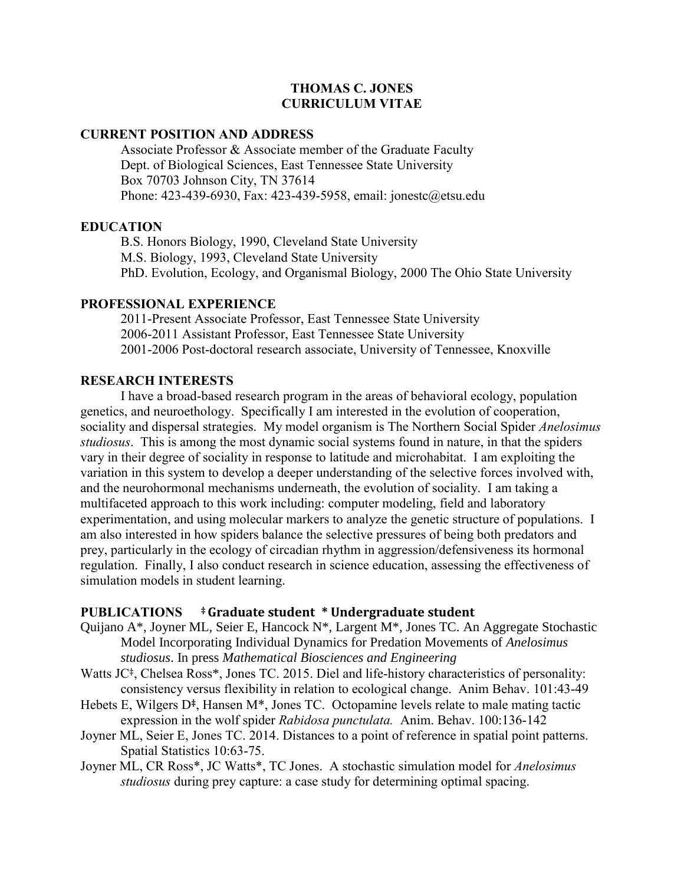# **THOMAS C. JONES CURRICULUM VITAE**

### **CURRENT POSITION AND ADDRESS**

Associate Professor & Associate member of the Graduate Faculty Dept. of Biological Sciences, East Tennessee State University Box 70703 Johnson City, TN 37614 Phone: 423-439-6930, Fax: 423-439-5958, email: jonestc@etsu.edu

### **EDUCATION**

B.S. Honors Biology, 1990, Cleveland State University M.S. Biology, 1993, Cleveland State University PhD. Evolution, Ecology, and Organismal Biology, 2000 The Ohio State University

#### **PROFESSIONAL EXPERIENCE**

2011-Present Associate Professor, East Tennessee State University 2006-2011 Assistant Professor, East Tennessee State University 2001-2006 Post-doctoral research associate, University of Tennessee, Knoxville

### **RESEARCH INTERESTS**

I have a broad-based research program in the areas of behavioral ecology, population genetics, and neuroethology. Specifically I am interested in the evolution of cooperation, sociality and dispersal strategies. My model organism is The Northern Social Spider *Anelosimus studiosus*. This is among the most dynamic social systems found in nature, in that the spiders vary in their degree of sociality in response to latitude and microhabitat. I am exploiting the variation in this system to develop a deeper understanding of the selective forces involved with, and the neurohormonal mechanisms underneath, the evolution of sociality. I am taking a multifaceted approach to this work including: computer modeling, field and laboratory experimentation, and using molecular markers to analyze the genetic structure of populations. I am also interested in how spiders balance the selective pressures of being both predators and prey, particularly in the ecology of circadian rhythm in aggression/defensiveness its hormonal regulation. Finally, I also conduct research in science education, assessing the effectiveness of simulation models in student learning.

#### **PUBLICATIONS ‡ Graduate student \* Undergraduate student**

- Quijano A\*, Joyner ML, Seier E, Hancock N\*, Largent M\*, Jones TC. An Aggregate Stochastic Model Incorporating Individual Dynamics for Predation Movements of *Anelosimus studiosus*. In press *Mathematical Biosciences and Engineering*
- Watts JC<sup>‡</sup>, Chelsea Ross<sup>\*</sup>, Jones TC. 2015. Diel and life-history characteristics of personality: consistency versus flexibility in relation to ecological change. Anim Behav. 101:43-49
- Hebets E, Wilgers D**‡**, Hansen M\*, Jones TC. Octopamine levels relate to male mating tactic expression in the wolf spider *Rabidosa punctulata.* Anim. Behav. 100:136-142
- Joyner ML, Seier E, Jones TC. 2014. Distances to a point of reference in spatial point patterns. Spatial Statistics 10:63-75.
- Joyner ML, CR Ross\*, JC Watts\*, TC Jones. A stochastic simulation model for *Anelosimus studiosus* during prey capture: a case study for determining optimal spacing.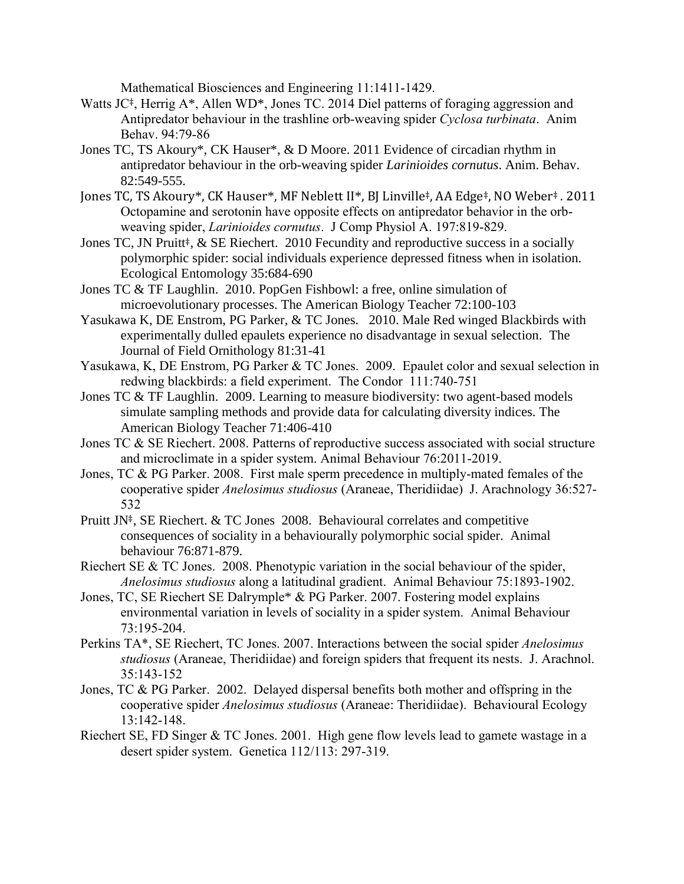Mathematical Biosciences and Engineering 11:1411-1429.

- Watts JC<sup>‡</sup>, Herrig A<sup>\*</sup>, Allen WD<sup>\*</sup>, Jones TC. 2014 Diel patterns of foraging aggression and Antipredator behaviour in the trashline orb-weaving spider *Cyclosa turbinata*. Anim Behav. 94:79-86
- Jones TC, TS Akoury\*, CK Hauser\*, & D Moore. 2011 Evidence of circadian rhythm in antipredator behaviour in the orb-weaving spider *Larinioides cornutus*. Anim. Behav. 82:549-555.
- Jones TC, TS Akoury\*, CK Hauser\*, MF Neblett II\*, BJ Linville‡, AA Edge‡, NO Weber‡ . 2011 Octopamine and serotonin have opposite effects on antipredator behavior in the orbweaving spider, *Larinioides cornutus*. J Comp Physiol A. 197:819-829.
- Jones TC, JN Pruitt<sup>‡</sup>, & SE Riechert. 2010 Fecundity and reproductive success in a socially polymorphic spider: social individuals experience depressed fitness when in isolation. Ecological Entomology 35:684-690
- Jones TC & TF Laughlin. 2010. PopGen Fishbowl: a free, online simulation of microevolutionary processes. The American Biology Teacher 72:100-103
- Yasukawa K, DE Enstrom, PG Parker, & TC Jones. 2010. Male Red winged Blackbirds with experimentally dulled epaulets experience no disadvantage in sexual selection. The Journal of Field Ornithology 81:31-41
- Yasukawa, K, DE Enstrom, PG Parker & TC Jones. 2009. Epaulet color and sexual selection in redwing blackbirds: a field experiment. The Condor 111:740-751
- Jones TC & TF Laughlin. 2009. Learning to measure biodiversity: two agent-based models simulate sampling methods and provide data for calculating diversity indices. The American Biology Teacher 71:406-410
- Jones TC & SE Riechert. 2008. Patterns of reproductive success associated with social structure and microclimate in a spider system. Animal Behaviour 76:2011-2019.
- Jones, TC & PG Parker. 2008. First male sperm precedence in multiply-mated females of the cooperative spider *Anelosimus studiosus* (Araneae, Theridiidae) J. Arachnology 36:527- 532
- Pruitt JN‡, SE Riechert. & TC Jones 2008. Behavioural correlates and competitive consequences of sociality in a behaviourally polymorphic social spider. Animal behaviour 76:871-879.
- Riechert SE & TC Jones. 2008. Phenotypic variation in the social behaviour of the spider, *Anelosimus studiosus* along a latitudinal gradient. Animal Behaviour 75:1893-1902.
- Jones, TC, SE Riechert SE Dalrymple\* & PG Parker. 2007. Fostering model explains environmental variation in levels of sociality in a spider system. Animal Behaviour 73:195-204.
- Perkins TA\*, SE Riechert, TC Jones. 2007. Interactions between the social spider *Anelosimus studiosus* (Araneae, Theridiidae) and foreign spiders that frequent its nests. J. Arachnol. 35:143-152
- Jones, TC & PG Parker. 2002. Delayed dispersal benefits both mother and offspring in the cooperative spider *Anelosimus studiosus* (Araneae: Theridiidae). Behavioural Ecology 13:142-148.
- Riechert SE, FD Singer & TC Jones. 2001. High gene flow levels lead to gamete wastage in a desert spider system. Genetica 112/113: 297-319.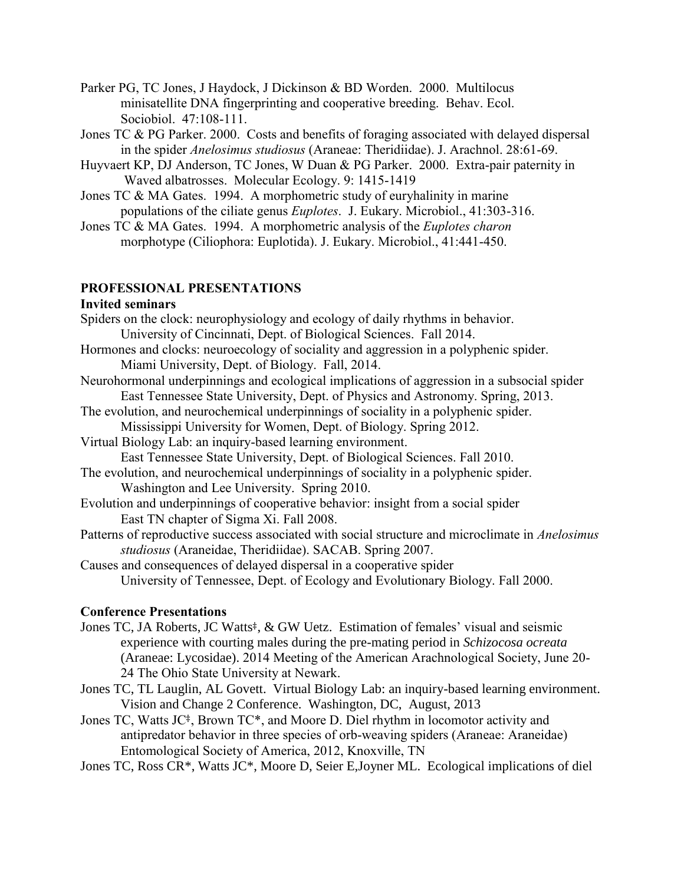- Parker PG, TC Jones, J Haydock, J Dickinson & BD Worden. 2000. Multilocus minisatellite DNA fingerprinting and cooperative breeding. Behav. Ecol. Sociobiol. 47:108-111.
- Jones TC & PG Parker. 2000. Costs and benefits of foraging associated with delayed dispersal in the spider *Anelosimus studiosus* (Araneae: Theridiidae). J. Arachnol. 28:61-69.
- Huyvaert KP, DJ Anderson, TC Jones, W Duan & PG Parker. 2000. Extra-pair paternity in Waved albatrosses. Molecular Ecology. 9: 1415-1419
- Jones TC & MA Gates. 1994. A morphometric study of euryhalinity in marine populations of the ciliate genus *Euplotes*. J. Eukary. Microbiol., 41:303-316.
- Jones TC & MA Gates. 1994. A morphometric analysis of the *Euplotes charon* morphotype (Ciliophora: Euplotida). J. Eukary. Microbiol., 41:441-450.

# **PROFESSIONAL PRESENTATIONS**

#### **Invited seminars**

- Spiders on the clock: neurophysiology and ecology of daily rhythms in behavior. University of Cincinnati, Dept. of Biological Sciences. Fall 2014.
- Hormones and clocks: neuroecology of sociality and aggression in a polyphenic spider. Miami University, Dept. of Biology. Fall, 2014.
- Neurohormonal underpinnings and ecological implications of aggression in a subsocial spider East Tennessee State University, Dept. of Physics and Astronomy. Spring, 2013.
- The evolution, and neurochemical underpinnings of sociality in a polyphenic spider. Mississippi University for Women, Dept. of Biology. Spring 2012.
- Virtual Biology Lab: an inquiry-based learning environment.
	- East Tennessee State University, Dept. of Biological Sciences. Fall 2010.
- The evolution, and neurochemical underpinnings of sociality in a polyphenic spider. Washington and Lee University. Spring 2010.
- Evolution and underpinnings of cooperative behavior: insight from a social spider East TN chapter of Sigma Xi. Fall 2008.
- Patterns of reproductive success associated with social structure and microclimate in *Anelosimus studiosus* (Araneidae, Theridiidae). SACAB. Spring 2007.

Causes and consequences of delayed dispersal in a cooperative spider University of Tennessee, Dept. of Ecology and Evolutionary Biology. Fall 2000.

### **Conference Presentations**

- Jones TC, JA Roberts, JC Watts<sup>‡</sup>, & GW Uetz. Estimation of females' visual and seismic experience with courting males during the pre-mating period in *Schizocosa ocreata* (Araneae: Lycosidae). 2014 Meeting of the American Arachnological Society, June 20- 24 The Ohio State University at Newark.
- Jones TC, TL Lauglin, AL Govett. Virtual Biology Lab: an inquiry-based learning environment. Vision and Change 2 Conference. Washington, DC, August, 2013
- Jones TC, Watts JC‡, Brown TC\*, and Moore D. Diel rhythm in locomotor activity and antipredator behavior in three species of orb-weaving spiders (Araneae: Araneidae) Entomological Society of America, 2012, Knoxville, TN
- Jones TC, Ross CR\*, Watts JC\*, Moore D, Seier E,Joyner ML. Ecological implications of diel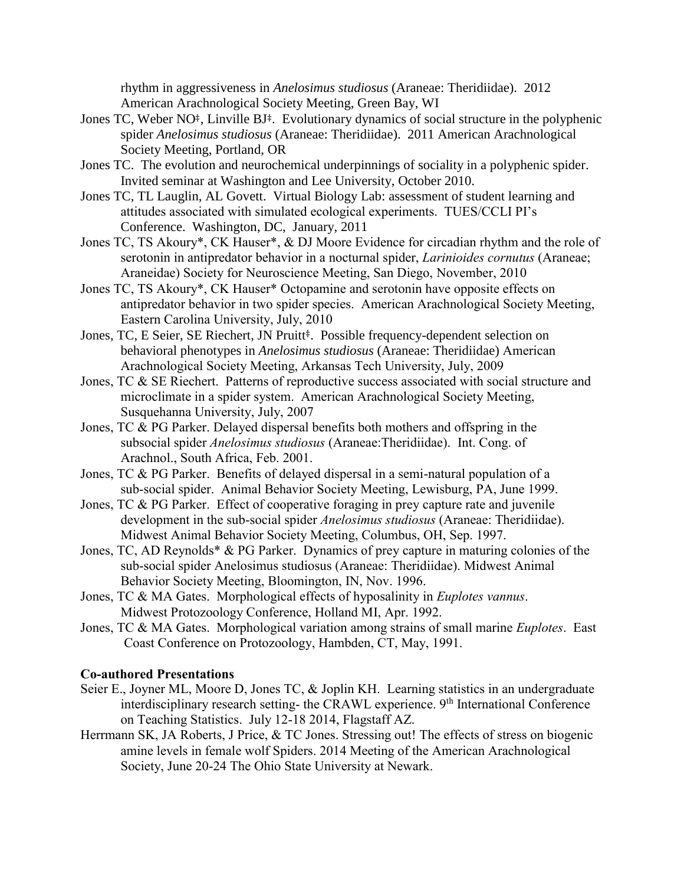rhythm in aggressiveness in *Anelosimus studiosus* (Araneae: Theridiidae). 2012 American Arachnological Society Meeting, Green Bay, WI

- Jones TC, Weber NO<sup>‡</sup>, Linville BJ<sup>‡</sup>. Evolutionary dynamics of social structure in the polyphenic spider *Anelosimus studiosus* (Araneae: Theridiidae). 2011 American Arachnological Society Meeting, Portland, OR
- Jones TC. The evolution and neurochemical underpinnings of sociality in a polyphenic spider. Invited seminar at Washington and Lee University, October 2010.
- Jones TC, TL Lauglin, AL Govett. Virtual Biology Lab: assessment of student learning and attitudes associated with simulated ecological experiments. TUES/CCLI PI's Conference. Washington, DC, January, 2011
- Jones TC, TS Akoury\*, CK Hauser\*, & DJ Moore Evidence for circadian rhythm and the role of serotonin in antipredator behavior in a nocturnal spider, *Larinioides cornutus* (Araneae; Araneidae) Society for Neuroscience Meeting, San Diego, November, 2010
- Jones TC, TS Akoury\*, CK Hauser\* Octopamine and serotonin have opposite effects on antipredator behavior in two spider species. American Arachnological Society Meeting, Eastern Carolina University, July, 2010
- Jones, TC, E Seier, SE Riechert, JN Pruitt<sup>‡</sup>. Possible frequency-dependent selection on behavioral phenotypes in *Anelosimus studiosus* (Araneae: Theridiidae) American Arachnological Society Meeting, Arkansas Tech University, July, 2009
- Jones, TC & SE Riechert. Patterns of reproductive success associated with social structure and microclimate in a spider system. American Arachnological Society Meeting, Susquehanna University, July, 2007
- Jones, TC & PG Parker. Delayed dispersal benefits both mothers and offspring in the subsocial spider *Anelosimus studiosus* (Araneae:Theridiidae). Int. Cong. of Arachnol., South Africa, Feb. 2001.
- Jones, TC & PG Parker. Benefits of delayed dispersal in a semi-natural population of a sub-social spider. Animal Behavior Society Meeting, Lewisburg, PA, June 1999.
- Jones, TC & PG Parker. Effect of cooperative foraging in prey capture rate and juvenile development in the sub-social spider *Anelosimus studiosus* (Araneae: Theridiidae). Midwest Animal Behavior Society Meeting, Columbus, OH, Sep. 1997.
- Jones, TC, AD Reynolds\* & PG Parker. Dynamics of prey capture in maturing colonies of the sub-social spider Anelosimus studiosus (Araneae: Theridiidae). Midwest Animal Behavior Society Meeting, Bloomington, IN, Nov. 1996.
- Jones, TC & MA Gates. Morphological effects of hyposalinity in *Euplotes vannus*. Midwest Protozoology Conference, Holland MI, Apr. 1992.
- Jones, TC & MA Gates. Morphological variation among strains of small marine *Euplotes*. East Coast Conference on Protozoology, Hambden, CT, May, 1991.

# **Co-authored Presentations**

- Seier E., Joyner ML, Moore D, Jones TC, & Joplin KH. Learning statistics in an undergraduate interdisciplinary research setting- the CRAWL experience. 9<sup>th</sup> International Conference on Teaching Statistics. July 12-18 2014, Flagstaff AZ.
- Herrmann SK, JA Roberts, J Price, & TC Jones. Stressing out! The effects of stress on biogenic amine levels in female wolf Spiders. 2014 Meeting of the American Arachnological Society, June 20-24 The Ohio State University at Newark.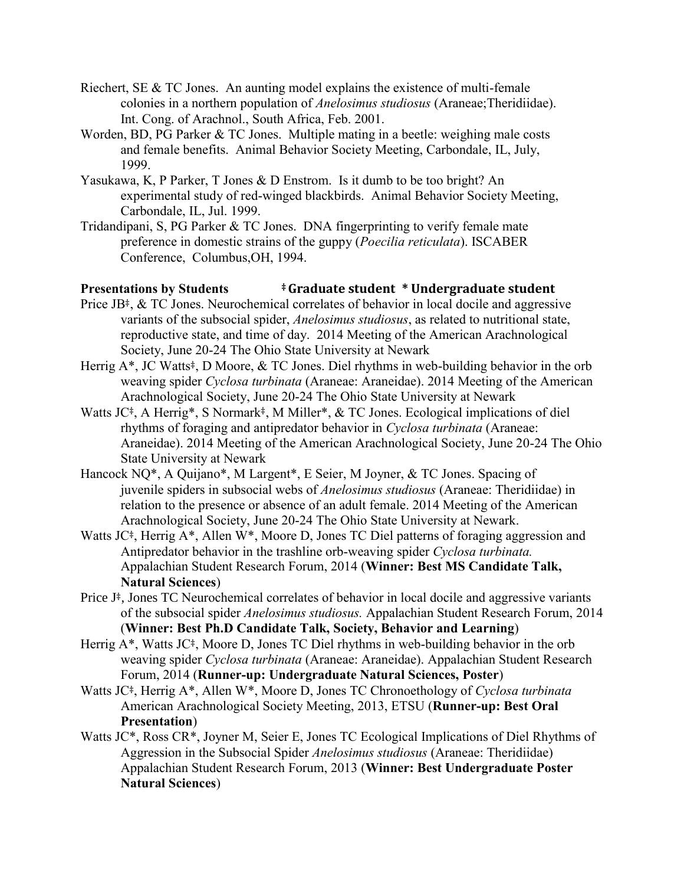- Riechert, SE & TC Jones. An aunting model explains the existence of multi-female colonies in a northern population of *Anelosimus studiosus* (Araneae;Theridiidae). Int. Cong. of Arachnol., South Africa, Feb. 2001.
- Worden, BD, PG Parker & TC Jones. Multiple mating in a beetle: weighing male costs and female benefits. Animal Behavior Society Meeting, Carbondale, IL, July, 1999.
- Yasukawa, K, P Parker, T Jones & D Enstrom. Is it dumb to be too bright? An experimental study of red-winged blackbirds. Animal Behavior Society Meeting, Carbondale, IL, Jul. 1999.
- Tridandipani, S, PG Parker & TC Jones. DNA fingerprinting to verify female mate preference in domestic strains of the guppy (*Poecilia reticulata*). ISCABER Conference, Columbus,OH, 1994.

# **Presentations by Students ‡ Graduate student \* Undergraduate student**

- Price JB<sup>‡</sup>, & TC Jones. Neurochemical correlates of behavior in local docile and aggressive variants of the subsocial spider, *Anelosimus studiosus*, as related to nutritional state, reproductive state, and time of day. 2014 Meeting of the American Arachnological Society, June 20-24 The Ohio State University at Newark
- Herrig A<sup>\*</sup>, JC Watts<sup>‡</sup>, D Moore, & TC Jones. Diel rhythms in web-building behavior in the orb weaving spider *Cyclosa turbinata* (Araneae: Araneidae). 2014 Meeting of the American Arachnological Society, June 20-24 The Ohio State University at Newark
- Watts JC‡, A Herrig\*, S Normark‡, M Miller\*, & TC Jones. Ecological implications of diel rhythms of foraging and antipredator behavior in *Cyclosa turbinata* (Araneae: Araneidae). 2014 Meeting of the American Arachnological Society, June 20-24 The Ohio State University at Newark
- Hancock NQ\*, A Quijano\*, M Largent\*, E Seier, M Joyner, & TC Jones. Spacing of juvenile spiders in subsocial webs of *Anelosimus studiosus* (Araneae: Theridiidae) in relation to the presence or absence of an adult female. 2014 Meeting of the American Arachnological Society, June 20-24 The Ohio State University at Newark.
- Watts JC<sup>‡</sup>, Herrig A<sup>\*</sup>, Allen W<sup>\*</sup>, Moore D, Jones TC Diel patterns of foraging aggression and Antipredator behavior in the trashline orb-weaving spider *Cyclosa turbinata.* Appalachian Student Research Forum, 2014 (**Winner: Best MS Candidate Talk, Natural Sciences**)
- Price J<sup>‡</sup>, Jones TC Neurochemical correlates of behavior in local docile and aggressive variants of the subsocial spider *Anelosimus studiosus.* Appalachian Student Research Forum, 2014 (**Winner: Best Ph.D Candidate Talk, Society, Behavior and Learning**)
- Herrig A<sup>\*</sup>, Watts JC<sup>‡</sup>, Moore D, Jones TC Diel rhythms in web-building behavior in the orb weaving spider *Cyclosa turbinata* (Araneae: Araneidae). Appalachian Student Research Forum, 2014 (**Runner-up: Undergraduate Natural Sciences, Poster**)
- Watts JC‡, Herrig A\*, Allen W\*, Moore D, Jones TC Chronoethology of *Cyclosa turbinata* American Arachnological Society Meeting, 2013, ETSU (**Runner-up: Best Oral Presentation**)
- Watts JC\*, Ross CR\*, Joyner M, Seier E, Jones TC Ecological Implications of Diel Rhythms of Aggression in the Subsocial Spider *Anelosimus studiosus* (Araneae: Theridiidae) Appalachian Student Research Forum, 2013 (**Winner: Best Undergraduate Poster Natural Sciences**)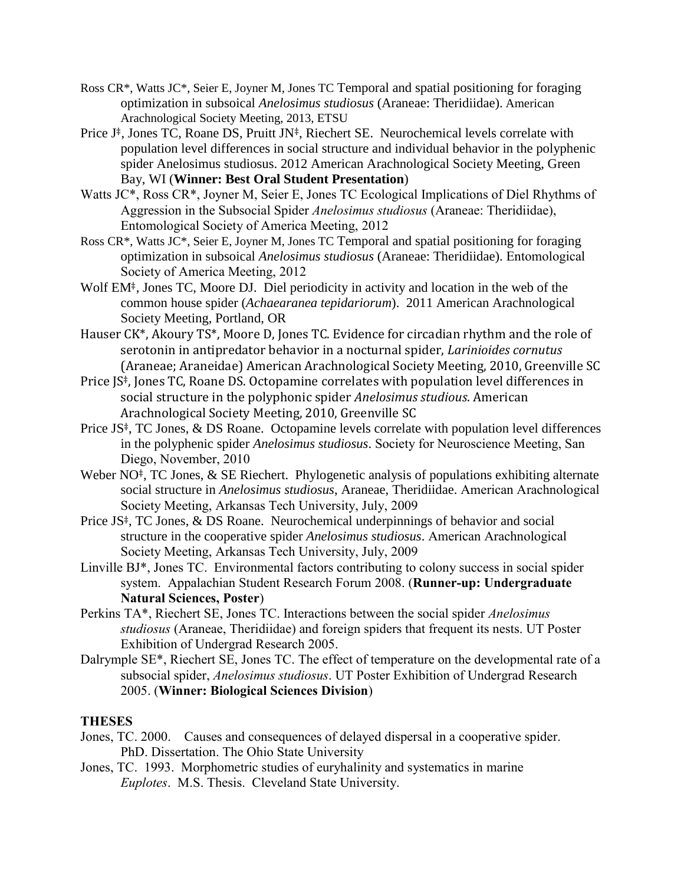- Ross CR\*, Watts JC\*, Seier E, Joyner M, Jones TC Temporal and spatial positioning for foraging optimization in subsoical *Anelosimus studiosus* (Araneae: Theridiidae). American Arachnological Society Meeting, 2013, ETSU
- Price J‡, Jones TC, Roane DS, Pruitt JN‡, Riechert SE. Neurochemical levels correlate with population level differences in social structure and individual behavior in the polyphenic spider Anelosimus studiosus. 2012 American Arachnological Society Meeting, Green Bay, WI (**Winner: Best Oral Student Presentation**)
- Watts JC\*, Ross CR\*, Joyner M, Seier E, Jones TC Ecological Implications of Diel Rhythms of Aggression in the Subsocial Spider *Anelosimus studiosus* (Araneae: Theridiidae), Entomological Society of America Meeting, 2012
- Ross CR\*, Watts JC\*, Seier E, Joyner M, Jones TC Temporal and spatial positioning for foraging optimization in subsoical *Anelosimus studiosus* (Araneae: Theridiidae). Entomological Society of America Meeting, 2012
- Wolf EM<sup>‡</sup>, Jones TC, Moore DJ. Diel periodicity in activity and location in the web of the common house spider (*Achaearanea tepidariorum*). 2011 American Arachnological Society Meeting, Portland, OR
- Hauser CK\*, Akoury TS\*, Moore D, Jones TC. Evidence for circadian rhythm and the role of serotonin in antipredator behavior in a nocturnal spider, *Larinioides cornutus* (Araneae; Araneidae) American Arachnological Society Meeting, 2010, Greenville SC
- Price JS‡, Jones TC, Roane DS. Octopamine correlates with population level differences in social structure in the polyphonic spider *Anelosimus studious*. American Arachnological Society Meeting, 2010, Greenville SC
- Price JS‡, TC Jones, & DS Roane. Octopamine levels correlate with population level differences in the polyphenic spider *Anelosimus studiosus*. Society for Neuroscience Meeting, San Diego, November, 2010
- Weber NO<sup>‡</sup>, TC Jones, & SE Riechert. Phylogenetic analysis of populations exhibiting alternate social structure in *Anelosimus studiosus*, Araneae, Theridiidae. American Arachnological Society Meeting, Arkansas Tech University, July, 2009
- Price JS‡, TC Jones, & DS Roane. Neurochemical underpinnings of behavior and social structure in the cooperative spider *Anelosimus studiosus*. American Arachnological Society Meeting, Arkansas Tech University, July, 2009
- Linville BJ\*, Jones TC. Environmental factors contributing to colony success in social spider system. Appalachian Student Research Forum 2008. (**Runner-up: Undergraduate Natural Sciences, Poster**)
- Perkins TA\*, Riechert SE, Jones TC. Interactions between the social spider *Anelosimus studiosus* (Araneae, Theridiidae) and foreign spiders that frequent its nests. UT Poster Exhibition of Undergrad Research 2005.
- Dalrymple SE\*, Riechert SE, Jones TC. The effect of temperature on the developmental rate of a subsocial spider, *Anelosimus studiosus*. UT Poster Exhibition of Undergrad Research 2005. (**Winner: Biological Sciences Division**)

# **THESES**

- Jones, TC. 2000. Causes and consequences of delayed dispersal in a cooperative spider. PhD. Dissertation. The Ohio State University
- Jones, TC. 1993. Morphometric studies of euryhalinity and systematics in marine *Euplotes*. M.S. Thesis. Cleveland State University.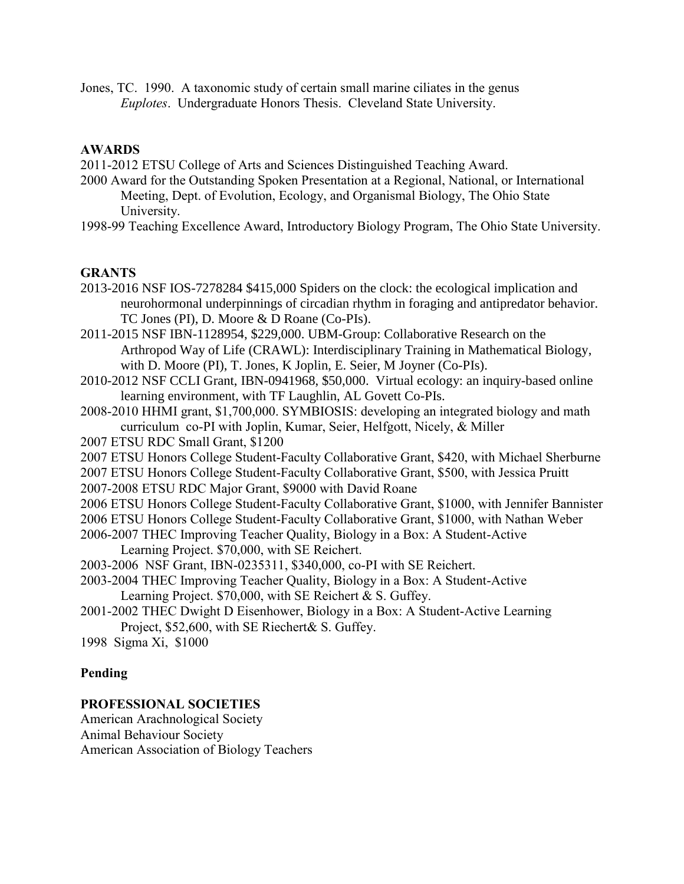Jones, TC. 1990. A taxonomic study of certain small marine ciliates in the genus *Euplotes*. Undergraduate Honors Thesis. Cleveland State University.

# **AWARDS**

2011-2012 ETSU College of Arts and Sciences Distinguished Teaching Award.

2000 Award for the Outstanding Spoken Presentation at a Regional, National, or International Meeting, Dept. of Evolution, Ecology, and Organismal Biology, The Ohio State University.

1998-99 Teaching Excellence Award, Introductory Biology Program, The Ohio State University.

# **GRANTS**

- 2013-2016 NSF IOS-7278284 \$415,000 Spiders on the clock: the ecological implication and neurohormonal underpinnings of circadian rhythm in foraging and antipredator behavior. TC Jones (PI), D. Moore & D Roane (Co-PIs).
- 2011-2015 NSF IBN-1128954, \$229,000. UBM-Group: Collaborative Research on the Arthropod Way of Life (CRAWL): Interdisciplinary Training in Mathematical Biology, with D. Moore (PI), T. Jones, K Joplin, E. Seier, M Joyner (Co-PIs).
- 2010-2012 NSF CCLI Grant, IBN-0941968, \$50,000. Virtual ecology: an inquiry-based online learning environment, with TF Laughlin, AL Govett Co-PIs.
- 2008-2010 HHMI grant, \$1,700,000. SYMBIOSIS: developing an integrated biology and math curriculum co-PI with Joplin, Kumar, Seier, Helfgott, Nicely, & Miller
- 2007 ETSU RDC Small Grant, \$1200
- 2007 ETSU Honors College Student-Faculty Collaborative Grant, \$420, with Michael Sherburne
- 2007 ETSU Honors College Student-Faculty Collaborative Grant, \$500, with Jessica Pruitt
- 2007-2008 ETSU RDC Major Grant, \$9000 with David Roane
- 2006 ETSU Honors College Student-Faculty Collaborative Grant, \$1000, with Jennifer Bannister 2006 ETSU Honors College Student-Faculty Collaborative Grant, \$1000, with Nathan Weber
- 2006-2007 THEC Improving Teacher Quality, Biology in a Box: A Student-Active
	- Learning Project. \$70,000, with SE Reichert.
- 2003-2006 NSF Grant, IBN-0235311, \$340,000, co-PI with SE Reichert.
- 2003-2004 THEC Improving Teacher Quality, Biology in a Box: A Student-Active Learning Project. \$70,000, with SE Reichert & S. Guffey.
- 2001-2002 THEC Dwight D Eisenhower, Biology in a Box: A Student-Active Learning Project, \$52,600, with SE Riechert& S. Guffey.
- 1998 Sigma Xi, \$1000

# **Pending**

# **PROFESSIONAL SOCIETIES**

American Arachnological Society Animal Behaviour Society American Association of Biology Teachers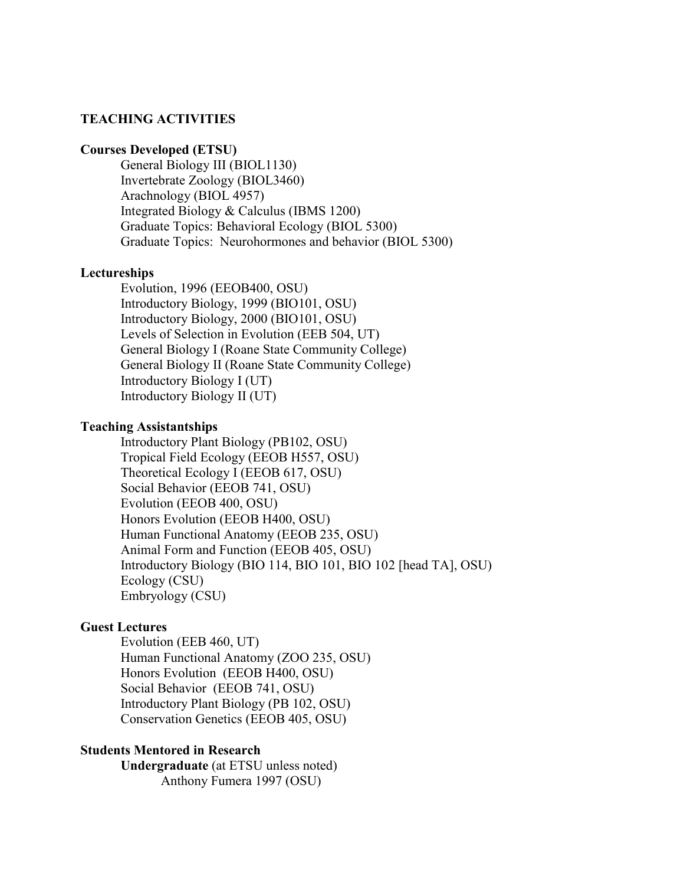# **TEACHING ACTIVITIES**

#### **Courses Developed (ETSU)**

General Biology III (BIOL1130) Invertebrate Zoology (BIOL3460) Arachnology (BIOL 4957) Integrated Biology & Calculus (IBMS 1200) Graduate Topics: Behavioral Ecology (BIOL 5300) Graduate Topics: Neurohormones and behavior (BIOL 5300)

#### **Lectureships**

Evolution, 1996 (EEOB400, OSU) Introductory Biology, 1999 (BIO101, OSU) Introductory Biology, 2000 (BIO101, OSU) Levels of Selection in Evolution (EEB 504, UT) General Biology I (Roane State Community College) General Biology II (Roane State Community College) Introductory Biology I (UT) Introductory Biology II (UT)

#### **Teaching Assistantships**

Introductory Plant Biology (PB102, OSU) Tropical Field Ecology (EEOB H557, OSU) Theoretical Ecology I (EEOB 617, OSU) Social Behavior (EEOB 741, OSU) Evolution (EEOB 400, OSU) Honors Evolution (EEOB H400, OSU) Human Functional Anatomy (EEOB 235, OSU) Animal Form and Function (EEOB 405, OSU) Introductory Biology (BIO 114, BIO 101, BIO 102 [head TA], OSU) Ecology (CSU) Embryology (CSU)

### **Guest Lectures**

Evolution (EEB 460, UT) Human Functional Anatomy (ZOO 235, OSU) Honors Evolution (EEOB H400, OSU) Social Behavior (EEOB 741, OSU) Introductory Plant Biology (PB 102, OSU) Conservation Genetics (EEOB 405, OSU)

### **Students Mentored in Research**

**Undergraduate** (at ETSU unless noted) Anthony Fumera 1997 (OSU)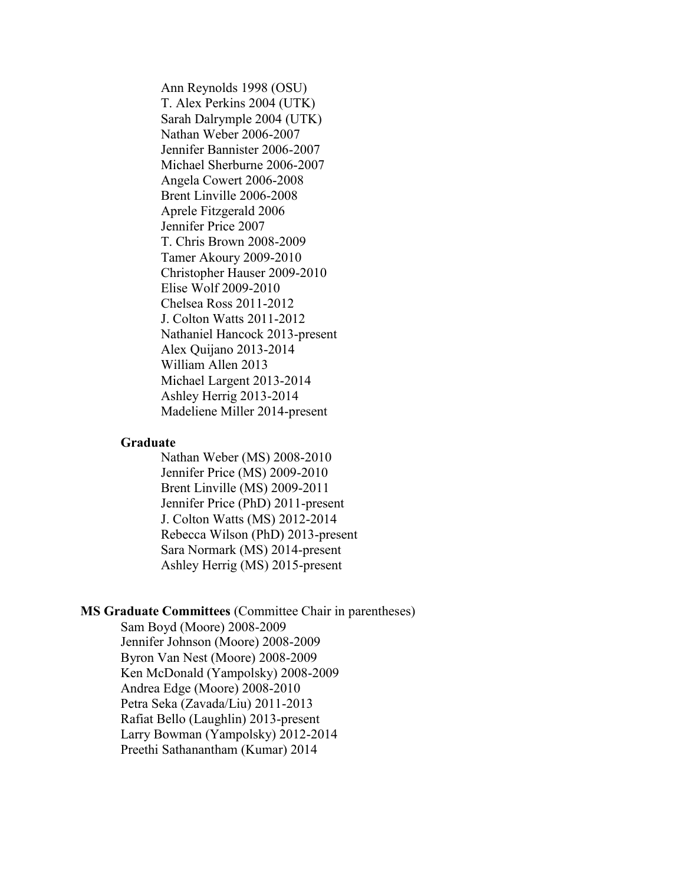Ann Reynolds 1998 (OSU) T. Alex Perkins 2004 (UTK) Sarah Dalrymple 2004 (UTK) Nathan Weber 2006-2007 Jennifer Bannister 2006-2007 Michael Sherburne 2006-2007 Angela Cowert 2006-2008 Brent Linville 2006-2008 Aprele Fitzgerald 2006 Jennifer Price 2007 T. Chris Brown 2008-2009 Tamer Akoury 2009-2010 Christopher Hauser 2009-2010 Elise Wolf 2009-2010 Chelsea Ross 2011-2012 J. Colton Watts 2011-2012 Nathaniel Hancock 2013-present Alex Quijano 2013-2014 William Allen 2013 Michael Largent 2013-2014 Ashley Herrig 2013-2014 Madeliene Miller 2014-present

#### **Graduate**

Nathan Weber (MS) 2008-2010 Jennifer Price (MS) 2009-2010 Brent Linville (MS) 2009-2011 Jennifer Price (PhD) 2011-present J. Colton Watts (MS) 2012-2014 Rebecca Wilson (PhD) 2013-present Sara Normark (MS) 2014-present Ashley Herrig (MS) 2015-present

### **MS Graduate Committees** (Committee Chair in parentheses)

Sam Boyd (Moore) 2008-2009 Jennifer Johnson (Moore) 2008-2009 Byron Van Nest (Moore) 2008-2009 Ken McDonald (Yampolsky) 2008-2009 Andrea Edge (Moore) 2008-2010 Petra Seka (Zavada/Liu) 2011-2013 Rafiat Bello (Laughlin) 2013-present Larry Bowman (Yampolsky) 2012-2014 Preethi Sathanantham (Kumar) 2014